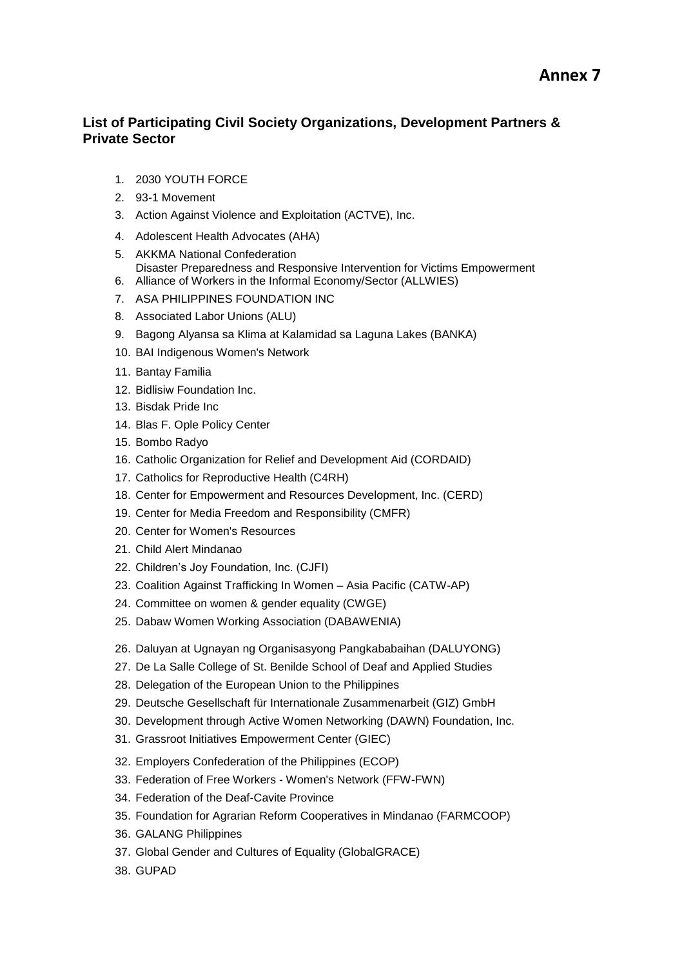## **List of Participating Civil Society Organizations, Development Partners & Private Sector**

- 1. 2030 YOUTH FORCE
- 2. 93-1 Movement
- 3. Action Against Violence and Exploitation (ACTVE), Inc.
- 4. Adolescent Health Advocates (AHA)
- 5. AKKMA National Confederation Disaster Preparedness and Responsive Intervention for Victims Empowerment
- 6. Alliance of Workers in the Informal Economy/Sector (ALLWIES)
- 7. ASA PHILIPPINES FOUNDATION INC
- 8. Associated Labor Unions (ALU)
- 9. Bagong Alyansa sa Klima at Kalamidad sa Laguna Lakes (BANKA)
- 10. BAI Indigenous Women's Network
- 11. Bantay Familia
- 12. Bidlisiw Foundation Inc.
- 13. Bisdak Pride Inc
- 14. Blas F. Ople Policy Center
- 15. Bombo Radyo
- 16. Catholic Organization for Relief and Development Aid (CORDAID)
- 17. Catholics for Reproductive Health (C4RH)
- 18. Center for Empowerment and Resources Development, Inc. (CERD)
- 19. Center for Media Freedom and Responsibility (CMFR)
- 20. Center for Women's Resources
- 21. Child Alert Mindanao
- 22. Children's Joy Foundation, Inc. (CJFI)
- 23. Coalition Against Trafficking In Women Asia Pacific (CATW-AP)
- 24. Committee on women & gender equality (CWGE)
- 25. Dabaw Women Working Association (DABAWENIA)
- 26. Daluyan at Ugnayan ng Organisasyong Pangkababaihan (DALUYONG)
- 27. De La Salle College of St. Benilde School of Deaf and Applied Studies
- 28. Delegation of the European Union to the Philippines
- 29. Deutsche Gesellschaft für Internationale Zusammenarbeit (GIZ) GmbH
- 30. Development through Active Women Networking (DAWN) Foundation, Inc.
- 31. Grassroot Initiatives Empowerment Center (GIEC)
- 32. Employers Confederation of the Philippines (ECOP)
- 33. Federation of Free Workers Women's Network (FFW-FWN)
- 34. Federation of the Deaf-Cavite Province
- 35. Foundation for Agrarian Reform Cooperatives in Mindanao (FARMCOOP)
- 36. GALANG Philippines
- 37. Global Gender and Cultures of Equality (GlobalGRACE)
- 38. GUPAD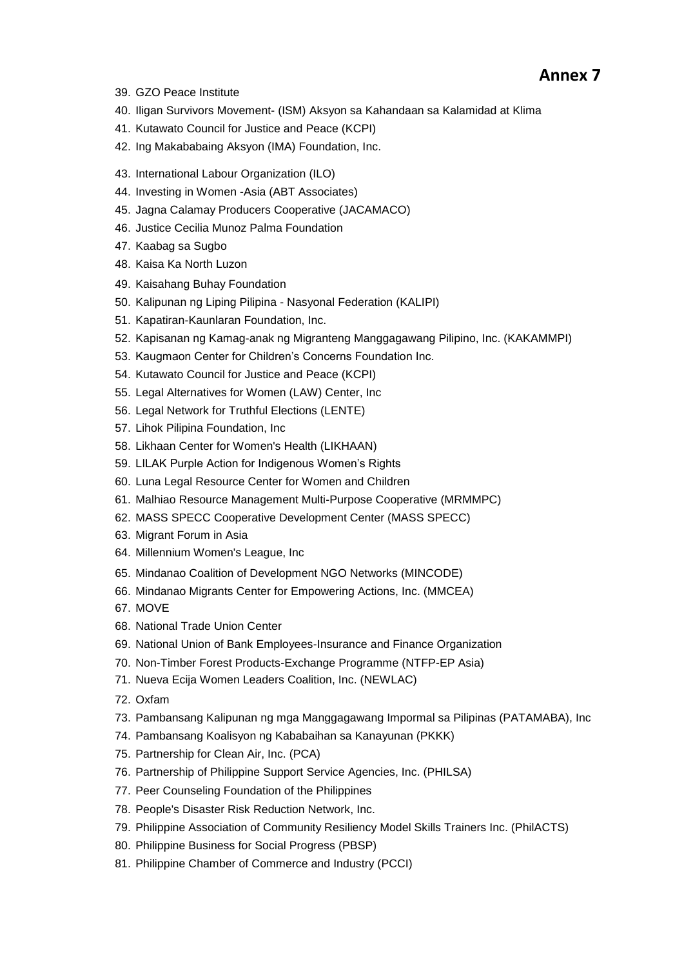- 39. GZO Peace Institute
- 40. Iligan Survivors Movement- (ISM) Aksyon sa Kahandaan sa Kalamidad at Klima
- 41. Kutawato Council for Justice and Peace (KCPI)
- 42. Ing Makababaing Aksyon (IMA) Foundation, Inc.
- 43. International Labour Organization (ILO)
- 44. Investing in Women -Asia (ABT Associates)
- 45. Jagna Calamay Producers Cooperative (JACAMACO)
- 46. Justice Cecilia Munoz Palma Foundation
- 47. Kaabag sa Sugbo
- 48. Kaisa Ka North Luzon
- 49. Kaisahang Buhay Foundation
- 50. Kalipunan ng Liping Pilipina Nasyonal Federation (KALIPI)
- 51. Kapatiran-Kaunlaran Foundation, Inc.
- 52. Kapisanan ng Kamag-anak ng Migranteng Manggagawang Pilipino, Inc. (KAKAMMPI)
- 53. Kaugmaon Center for Children's Concerns Foundation Inc.
- 54. Kutawato Council for Justice and Peace (KCPI)
- 55. Legal Alternatives for Women (LAW) Center, Inc
- 56. Legal Network for Truthful Elections (LENTE)
- 57. Lihok Pilipina Foundation, Inc
- 58. Likhaan Center for Women's Health (LIKHAAN)
- 59. LILAK Purple Action for Indigenous Women's Rights
- 60. Luna Legal Resource Center for Women and Children
- 61. Malhiao Resource Management Multi-Purpose Cooperative (MRMMPC)
- 62. MASS SPECC Cooperative Development Center (MASS SPECC)
- 63. Migrant Forum in Asia
- 64. Millennium Women's League, Inc
- 65. Mindanao Coalition of Development NGO Networks (MINCODE)
- 66. Mindanao Migrants Center for Empowering Actions, Inc. (MMCEA)
- 67. MOVE
- 68. National Trade Union Center
- 69. National Union of Bank Employees-Insurance and Finance Organization
- 70. Non-Timber Forest Products-Exchange Programme (NTFP-EP Asia)
- 71. Nueva Ecija Women Leaders Coalition, Inc. (NEWLAC)
- 72. Oxfam
- 73. Pambansang Kalipunan ng mga Manggagawang Impormal sa Pilipinas (PATAMABA), Inc
- 74. Pambansang Koalisyon ng Kababaihan sa Kanayunan (PKKK)
- 75. Partnership for Clean Air, Inc. (PCA)
- 76. Partnership of Philippine Support Service Agencies, Inc. (PHILSA)
- 77. Peer Counseling Foundation of the Philippines
- 78. People's Disaster Risk Reduction Network, Inc.
- 79. Philippine Association of Community Resiliency Model Skills Trainers Inc. (PhilACTS)
- 80. Philippine Business for Social Progress (PBSP)
- 81. Philippine Chamber of Commerce and Industry (PCCI)